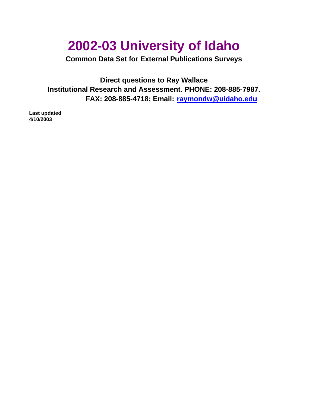# **2002-03 University of Idaho**

**Common Data Set for External Publications Surveys**

**FAX: 208-885-4718; Email: raymondw@uidaho.edu Direct questions to Ray Wallace Institutional Research and Assessment. PHONE: 208-885-7987.**

**Last updated 4/10/2003**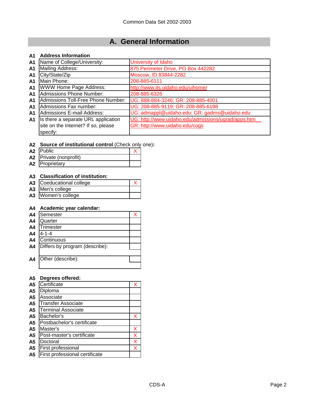# **A. General Information**

### **A1 Address Information**

| A <sub>1</sub> | Name of College/University:         | University of Idaho                                 |
|----------------|-------------------------------------|-----------------------------------------------------|
| A <sub>1</sub> | Mailing Address:                    | 875 Perimeter Drive, PO Box 442282                  |
| A1             | City/State/Zip                      | Moscow, ID 83844-2282                               |
| A1             | Main Phone:                         | 208-885-6111                                        |
| A <sub>1</sub> | WWW Home Page Address:              | http://www.its.uidaho.edu/uihome/                   |
| A <sub>1</sub> | <b>Admissions Phone Number:</b>     | 208-885-6326                                        |
| A <sub>1</sub> | Admissions Toll-Free Phone Number:  | UG: 888-884-3246; GR: 208-885-4001                  |
| A1             | Admissions Fax number:              | UG: 208-885-9119; GR: 208-885-6198                  |
| A <sub>1</sub> | <b>Admissions E-mail Address:</b>   | UG: admappl@uidaho.edu; GR: gadms@uidaho.edu        |
| A1             | Is there a separate URL application | UG: http://www.uidaho.edu/admissions/ugrad/apps.htm |
|                | site on the Internet? If so, please | GR: http://www.uidaho.edu/cogs                      |
|                | specify:                            |                                                     |

### **A2 Source of institutional control** (Check only one)**:**

| A2 Public              |  |
|------------------------|--|
| A2 Private (nonprofit) |  |
| A2 Proprietary         |  |

### **A3 Classification of institution:**

| A3 Coeducational college |  |
|--------------------------|--|
| A3 Men's college         |  |
| A3 Women's college       |  |

### **A4 Academic year calendar:**

| A <sub>4</sub> | Semester                       |  |
|----------------|--------------------------------|--|
| A <sub>4</sub> | Quarter                        |  |
| A <sub>4</sub> | <b>Trimester</b>               |  |
| A <sub>4</sub> | 4-1-4                          |  |
| A <sub>4</sub> | Continuous                     |  |
| A <sub>4</sub> | Differs by program (describe): |  |
|                |                                |  |
| A4             | Other (describe):              |  |
|                |                                |  |

### **A5 Degrees offered:**

| A <sub>5</sub> | Certificate                    | Χ |
|----------------|--------------------------------|---|
| A <sub>5</sub> | Diploma                        |   |
| A5             | Associate                      |   |
| A <sub>5</sub> | <b>Transfer Associate</b>      |   |
| A <sub>5</sub> | <b>Terminal Associate</b>      |   |
| A <sub>5</sub> | Bachelor's                     | х |
| A <sub>5</sub> | Postbachelor's certificate     |   |
| A <sub>5</sub> | Master's                       | х |
| A <sub>5</sub> | Post-master's certificate      | X |
| A <sub>5</sub> | Doctoral                       | Χ |
| A <sub>5</sub> | First professional             | X |
| A <sub>5</sub> | First professional certificate |   |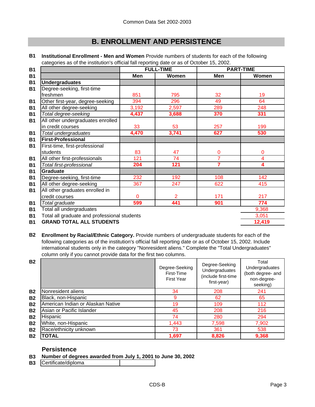### **B. ENROLLMENT AND PERSISTENCE**

|                                              |       |                  | <b>PART-TIME</b> |
|----------------------------------------------|-------|------------------|------------------|
| Men                                          | Women | Men              | Women            |
|                                              |       |                  |                  |
|                                              |       |                  |                  |
| 851                                          | 795   | 32               | 19               |
| 394                                          | 296   | 49               | 64               |
| 3,192                                        | 2,597 | 289              | 248              |
| 4,437                                        | 3,688 | 370              | 331              |
|                                              |       |                  |                  |
| 33                                           | 53    | 257              | 199              |
| 4,470                                        | 3,741 | 627              | 530              |
|                                              |       |                  |                  |
|                                              |       |                  |                  |
| 83                                           | 47    | 0                | 0                |
| 121                                          | 74    | 7                | 4                |
| 204                                          | 121   | 7                | 4                |
|                                              |       |                  |                  |
| 232                                          | 192   | 108              | 142              |
| 367                                          | 247   | 622              | 415              |
|                                              |       |                  |                  |
| $\mathbf{0}$                                 | 2     | 171              | 217              |
| 599                                          | 441   | 901              | 774              |
|                                              |       |                  | 9,368            |
| Total all graduate and professional students |       |                  | 3,051            |
|                                              |       | <b>FULL-TIME</b> |                  |

**B1 Institutional Enrollment - Men and Women** Provide numbers of students for each of the following categories as of the institution's official fall reporting date or as of October 15, 2002.

**B1 12,419 GRAND TOTAL ALL STUDENTS**

**B2 Enrollment by Racial/Ethnic Category.** Provide numbers of undergraduate students for each of the following categories as of the institution's official fall reporting date or as of October 15, 2002. Include international students only in the category "Nonresident aliens." Complete the "Total Undergraduates" column only if you cannot provide data for the first two columns.

| <b>B2</b> |                                   | Degree-Seeking<br>First-Time<br><b>First Year</b> | Degree-Seeking<br>Undergraduates<br>(include first-time<br>first-year) | Total<br>Undergraduates<br>(both degree- and<br>non-degree-<br>seeking) |
|-----------|-----------------------------------|---------------------------------------------------|------------------------------------------------------------------------|-------------------------------------------------------------------------|
| <b>B2</b> | Nonresident aliens                | 34                                                | 208                                                                    | 241                                                                     |
| <b>B2</b> | Black, non-Hispanic               | 9                                                 | 62                                                                     | 65                                                                      |
| <b>B2</b> | American Indian or Alaskan Native | 19                                                | 109                                                                    | 112                                                                     |
| <b>B2</b> | Asian or Pacific Islander         | 45                                                | 208                                                                    | 216                                                                     |
| <b>B2</b> | Hispanic                          | 74                                                | 280                                                                    | 294                                                                     |
| <b>B2</b> | White, non-Hispanic               | 1,443                                             | 7,598                                                                  | 7,902                                                                   |
| <b>B2</b> | Race/ethnicity unknown            | 73                                                | 361                                                                    | 538                                                                     |
| <b>B2</b> | <b>TOTAL</b>                      | 1,697                                             | 8,826                                                                  | 9,368                                                                   |

### **Persistence**

- **B3 Number of degrees awarded from July 1, 2001 to June 30, 2002**
- **B3** Certificate/diploma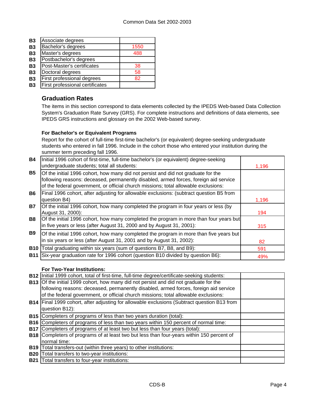| <b>B3</b> | Associate degrees               |      |
|-----------|---------------------------------|------|
| <b>B3</b> | Bachelor's degrees              | 1550 |
| <b>B3</b> | Master's degrees                | 488  |
| <b>B3</b> | Postbachelor's degrees          |      |
| <b>B3</b> | Post-Master's certificates      | 38   |
| <b>B3</b> | Doctoral degrees                | 58   |
| <b>B3</b> | First professional degrees      | 82   |
| <b>B3</b> | First professional certificates |      |

### **Graduation Rates**

The items in this section correspond to data elements collected by the IPEDS Web-based Data Collection System's Graduation Rate Survey (GRS). For complete instructions and definitions of data elements, see IPEDS GRS instructions and glossary on the 2002 Web-based survey.

### **For Bachelor's or Equivalent Programs**

Report for the cohort of full-time first-time bachelor's (or equivalent) degree-seeking undergraduate students who entered in fall 1996. Include in the cohort those who entered your institution during the summer term preceding fall 1996.

| <b>B4</b>  | Initial 1996 cohort of first-time, full-time bachelor's (or equivalent) degree-seeking                                                                                                                                                                           |       |
|------------|------------------------------------------------------------------------------------------------------------------------------------------------------------------------------------------------------------------------------------------------------------------|-------|
|            | undergraduate students; total all students:                                                                                                                                                                                                                      | 1,196 |
| <b>B5</b>  | Of the initial 1996 cohort, how many did not persist and did not graduate for the<br>following reasons: deceased, permanently disabled, armed forces, foreign aid service<br>of the federal government, or official church missions; total allowable exclusions: |       |
| <b>B6</b>  | Final 1996 cohort, after adjusting for allowable exclusions: (subtract question B5 from<br>question B4)                                                                                                                                                          | 1,196 |
| <b>B7</b>  | Of the initial 1996 cohort, how many completed the program in four years or less (by<br>August 31, 2000):                                                                                                                                                        | 194   |
| <b>B8</b>  | Of the initial 1996 cohort, how many completed the program in more than four years but<br>in five years or less (after August 31, 2000 and by August 31, 2001):                                                                                                  | 315   |
| <b>B9</b>  | Of the initial 1996 cohort, how many completed the program in more than five years but<br>in six years or less (after August 31, 2001 and by August 31, 2002):                                                                                                   | 82    |
| <b>B10</b> | Total graduating within six years (sum of questions B7, B8, and B9):                                                                                                                                                                                             | 591   |
| <b>B11</b> | Six-year graduation rate for 1996 cohort (question B10 divided by question B6):                                                                                                                                                                                  | 49%   |

### **For Two-Year Institutions:**

| B12   Initial 1999 cohort, total of first-time, full-time degree/certificate-seeking students:   |  |
|--------------------------------------------------------------------------------------------------|--|
| <b>B13</b> Of the initial 1999 cohort, how many did not persist and did not graduate for the     |  |
| following reasons: deceased, permanently disabled, armed forces, foreign aid service             |  |
| of the federal government, or official church missions; total allowable exclusions:              |  |
| B14   Final 1999 cohort, after adjusting for allowable exclusions (Subtract question B13 from    |  |
| question B12):                                                                                   |  |
| <b>B15</b> Completers of programs of less than two years duration (total):                       |  |
| <b>B16</b> Completers of programs of less than two years within 150 percent of normal time:      |  |
| <b>B17</b> Completers of programs of at least two but less than four years (total):              |  |
| <b>B18</b> Completers of programs of at least two but less than four-years within 150 percent of |  |
| normal time:                                                                                     |  |
| B19   Total transfers-out (within three years) to other institutions:                            |  |
| <b>B20</b> Total transfers to two-year institutions:                                             |  |
| <b>B21</b> Total transfers to four-year institutions:                                            |  |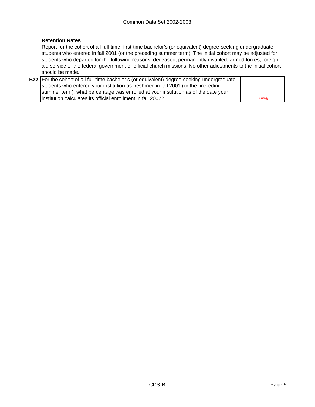### **Retention Rates**

Report for the cohort of all full-time, first-time bachelor's (or equivalent) degree-seeking undergraduate students who entered in fall 2001 (or the preceding summer term). The initial cohort may be adjusted for students who departed for the following reasons: deceased, permanently disabled, armed forces, foreign aid service of the federal government or official church missions. No other adjustments to the initial cohort should be made.

| B22 For the cohort of all full-time bachelor's (or equivalent) degree-seeking undergraduate |     |
|---------------------------------------------------------------------------------------------|-----|
| students who entered your institution as freshmen in fall 2001 (or the preceding            |     |
| summer term), what percentage was enrolled at your institution as of the date your          |     |
| linstitution calculates its official enrollment in fall 2002?                               | 78% |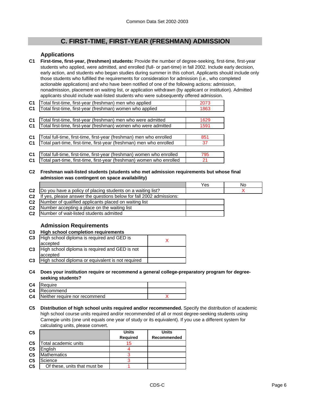### **C. FIRST-TIME, FIRST-YEAR (FRESHMAN) ADMISSION**

### **Applications**

**C1 First-time, first-year, (freshmen) students:** Provide the number of degree-seeking, first-time, first-year students who applied, were admitted, and enrolled (full- or part-time) in fall 2002. Include early decision, early action, and students who began studies during summer in this cohort. Applicants should include only those students who fulfilled the requirements for consideration for admission (i.e., who completed actionable applications) and who have been notified of one of the following actions: admission, nonadmission, placement on waiting list, or application withdrawn (by applicant or institution). Admitted applicants should include wait-listed students who were subsequently offered admission.

| C <sub>1</sub> | Total first-time, first-year (freshman) men who applied               | 2073 |
|----------------|-----------------------------------------------------------------------|------|
| C <sub>1</sub> | Total first-time, first-year (freshman) women who applied             | 1863 |
|                |                                                                       |      |
| C <sub>1</sub> | Total first-time, first-year (freshman) men who were admitted         | 1629 |
| C <sub>1</sub> | Total first-time, first-year (freshman) women who were admitted       | 1591 |
|                |                                                                       |      |
| C <sub>1</sub> | Total full-time, first-time, first-year (freshman) men who enrolled   | 851  |
| C <sub>1</sub> | Total part-time, first-time, first-year (freshman) men who enrolled   | 37   |
|                |                                                                       |      |
| C <sub>1</sub> | Total full-time, first-time, first-year (freshman) women who enrolled | 795  |
| C <sub>1</sub> | Total part-time, first-time, first-year (freshman) women who enrolled | 21   |

**C2 Freshman wait-listed students (students who met admission requirements but whose final admission was contingent on space availability)**

|                |                                                                     | Yes | No |
|----------------|---------------------------------------------------------------------|-----|----|
|                | C2  Do you have a policy of placing students on a waiting list?     |     |    |
| C <sub>2</sub> | If yes, please answer the questions below for fall 2002 admissions: |     |    |
|                | <b>C2</b> Number of qualified applicants placed on waiting list     |     |    |
|                | <b>C2</b> Number accepting a place on the waiting list              |     |    |
| C <sub>2</sub> | Number of wait-listed students admitted                             |     |    |

### **Admission Requirements**

| C <sub>3</sub> | <b>High school completion requirements</b>        |  |
|----------------|---------------------------------------------------|--|
| C <sub>3</sub> | High school diploma is required and GED is        |  |
|                | accepted                                          |  |
| C <sub>3</sub> | High school diploma is required and GED is not    |  |
|                | accepted                                          |  |
| C <sub>3</sub> | High school diploma or equivalent is not required |  |

**C4 Does your institution require or recommend a general college-preparatory program for degreeseeking students?**

| C <sub>4</sub> | <b>Require</b>                          |  |
|----------------|-----------------------------------------|--|
|                | <b>C4</b> Recommend                     |  |
|                | <b>C4</b> Neither require nor recommend |  |

**C5 Distribution of high school units required and/or recommended.** Specify the distribution of academic high school course units required and/or recommended of all or most degree-seeking students using Carnegie units (one unit equals one year of study or its equivalent). If you use a different system for calculating units, please convert.

| C <sub>5</sub> |                              | <b>Units</b>    | Units       |
|----------------|------------------------------|-----------------|-------------|
|                |                              | <b>Required</b> | Recommended |
| C <sub>5</sub> | Total academic units         | 15              |             |
| C <sub>5</sub> | Enalish                      |                 |             |
| C <sub>5</sub> | <b>Mathematics</b>           |                 |             |
| C <sub>5</sub> | Science                      |                 |             |
| C <sub>5</sub> | Of these, units that must be |                 |             |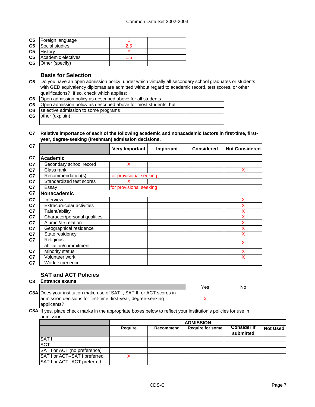| C <sub>5</sub> | Foreign language   |     |  |
|----------------|--------------------|-----|--|
| C <sub>5</sub> | Social studies     | 2.5 |  |
| C <sub>5</sub> | History            | ÷   |  |
| C <sub>5</sub> | Academic electives | -5  |  |
| C <sub>5</sub> | Other (specify)    |     |  |

### **Basis for Selection**

- **C6** Do you have an open admission policy, under which virtually all secondary school graduates or students with GED equivalency diplomas are admitted without regard to academic record, test scores, or other qualifications? If so, check which applies:
- **C6** Open admission policy as described above for all students
- **C6** Open admission policy as described above for most students, but

**C6** selective admission to some programs

**C6** other (explain)

#### **C7 Relative importance of each of the following academic and nonacademic factors in first-time, firstyear, degree-seeking (freshman) admission decisions.**

| C <sub>7</sub> |                                   | <b>Very Important</b>   | Important | <b>Considered</b> | <b>Not Considered</b> |  |  |
|----------------|-----------------------------------|-------------------------|-----------|-------------------|-----------------------|--|--|
| C7             | <b>Academic</b>                   |                         |           |                   |                       |  |  |
| C <sub>7</sub> | Secondary school record           | X                       |           |                   |                       |  |  |
| C7             | Class rank                        |                         |           |                   | x                     |  |  |
| C <sub>7</sub> | Recommendation(s)                 | for provisional seeking |           |                   |                       |  |  |
| C <sub>7</sub> | Standardized test scores          |                         |           |                   |                       |  |  |
| C7             | Essay                             | for provisional seeking |           |                   |                       |  |  |
| C7             | Nonacademic                       |                         |           |                   |                       |  |  |
| C <sub>7</sub> | Interview                         |                         |           |                   | X                     |  |  |
| C <sub>7</sub> | <b>Extracurricular activities</b> |                         |           |                   | X                     |  |  |
| C <sub>7</sub> | Talent/ability                    |                         |           |                   | X                     |  |  |
| C <sub>7</sub> | Character/personal qualities      |                         |           |                   | X                     |  |  |
| C <sub>7</sub> | Alumni/ae relation                |                         |           |                   | X                     |  |  |
| C <sub>7</sub> | Geographical residence            |                         |           |                   | X                     |  |  |
| C <sub>7</sub> | State residency                   |                         |           |                   | X                     |  |  |
| C <sub>7</sub> | Religious                         |                         |           |                   | X                     |  |  |
|                | affiliation/commitment            |                         |           |                   |                       |  |  |
| C <sub>7</sub> | Minority status                   |                         |           |                   | X                     |  |  |
| C7             | Volunteer work                    |                         |           |                   | x                     |  |  |
| C <sub>7</sub> | Work experience                   |                         |           |                   |                       |  |  |

### **SAT and ACT Policies**

#### **C8 Entrance exams**

|                                                                              | Yes | Nο |  |
|------------------------------------------------------------------------------|-----|----|--|
| <b>C8A Does your institution make use of SAT I, SAT II, or ACT scores in</b> |     |    |  |
| admission decisions for first-time, first-year, degree-seeking               |     |    |  |
| applicants?                                                                  |     |    |  |
|                                                                              |     |    |  |

#### **C8A** If yes, place check marks in the appropriate boxes below to reflect your institution's policies for use in admission.

|                               | <b>ADMISSION</b> |                                                                              |  |  |  |  |  |
|-------------------------------|------------------|------------------------------------------------------------------------------|--|--|--|--|--|
|                               | <b>Require</b>   | <b>Consider if</b><br>Require for some<br>Not Used<br>Recommend<br>submitted |  |  |  |  |  |
| SAT <sub>I</sub>              |                  |                                                                              |  |  |  |  |  |
| <b>ACT</b>                    |                  |                                                                              |  |  |  |  |  |
| SAT I or ACT (no preference)  |                  |                                                                              |  |  |  |  |  |
| SAT I or ACT--SAT I preferred |                  |                                                                              |  |  |  |  |  |
| SAT I or ACT--ACT preferred   |                  |                                                                              |  |  |  |  |  |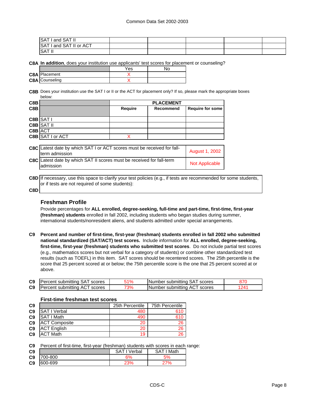| SAT I and SAT II        |  |  |  |
|-------------------------|--|--|--|
| SAT I and SAT II or ACT |  |  |  |
| SAT I'                  |  |  |  |

**C8A In addition**, does your institution use applicants' test scores for placement or counseling?

|                       | Yes |  |
|-----------------------|-----|--|
| <b>C8A</b> Placement  |     |  |
| <b>C8A</b> Counseling |     |  |

**C8B** Does your institution use the SAT I or II or the ACT for placement only? If so, please mark the appropriate boxes below:

| C8B     |                  | <b>PLACEMENT</b> |           |                  |  |
|---------|------------------|------------------|-----------|------------------|--|
| C8B     |                  | Require          | Recommend | Require for some |  |
|         |                  |                  |           |                  |  |
|         | C8B SAT I        |                  |           |                  |  |
|         | C8B SAT II       |                  |           |                  |  |
| C8B ACT |                  |                  |           |                  |  |
|         | C8B SAT I or ACT |                  |           |                  |  |
|         |                  |                  |           |                  |  |
|         |                  |                  | .         |                  |  |

| <b>C8C</b> Latest date by which SAT I or ACT scores must be received for fall-<br>term admission | <b>August 1, 2002</b> |
|--------------------------------------------------------------------------------------------------|-----------------------|
| <b>C8C</b> Latest date by which SAT II scores must be received for fall-term<br>ladmission       | <b>Not Applicable</b> |

**C8D** If necessary, use this space to clarify your test policies (e.g., if tests are recommended for some students, or if tests are not required of some students):

#### **C8D**

#### **Freshman Profile**

Provide percentages for **ALL enrolled, degree-seeking, full-time and part-time, first-time, first-year (freshman) students** enrolled in fall 2002, including students who began studies during summer, international students/nonresident aliens, and students admitted under special arrangements.

**C9 Percent and number of first-time, first-year (freshman) students enrolled in fall 2002 who submitted national standardized (SAT/ACT) test scores.** Include information for **ALL enrolled, degree-seeking, first-time, first-year (freshman) students who submitted test scores**. Do not include partial test scores (e.g., mathematics scores but not verbal for a category of students) or combine other standardized test results (such as TOEFL) in this item. SAT scores should be recentered scores. The 25th percentile is the score that 25 percent scored at or below; the 75th percentile score is the one that 25 percent scored at or above.

| C <sub>9</sub> | Percent submitting SAT scores | $1\%$ | Number submitting SAT scores    |                 |
|----------------|-------------------------------|-------|---------------------------------|-----------------|
| C <sub>9</sub> | Percent submitting ACT scores | 73%   | Number submitting ACT<br>scores | 24 <sup>1</sup> |

| C <sub>9</sub> |                      | 25th Percentile | <b>75th Percentile</b> |
|----------------|----------------------|-----------------|------------------------|
| C <sub>9</sub> | SAT I Verbal         | 480             | 610                    |
| C <sub>9</sub> | SAT I Math           | 490             | 610                    |
| C <sub>9</sub> | <b>ACT Composite</b> | 20              | 26                     |
| C <sub>9</sub> | <b>ACT English</b>   | 20              | 26                     |
| C <sub>9</sub> | <b>ACT Math</b>      | 19              | 26                     |

#### **First-time freshman test scores**

**C9** Percent of first-time, first-year (freshman) students with scores in each range:

| C <sub>9</sub> |         | SΑ<br>Verbal | ' Math<br>SAT |
|----------------|---------|--------------|---------------|
| C <sub>9</sub> | 700-800 | 6%           | 5%            |
| C <sub>9</sub> | 600-699 |              |               |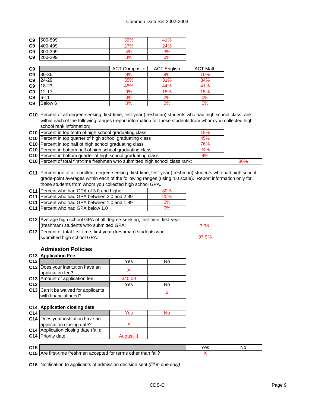| C <sub>9</sub> | 500-599 | 39%         | 41% |
|----------------|---------|-------------|-----|
| C <sub>9</sub> | 400-499 | <u>ን7% </u> | 24% |
| C <sub>9</sub> | 300-399 | 4%          | 3%  |
| C <sub>9</sub> | 200-299 | ጋ%          | ገ%  |

| C <sub>9</sub> |           | <b>ACT Composite</b> | <b>ACT English</b> | <b>ACT Math</b> |
|----------------|-----------|----------------------|--------------------|-----------------|
| C <sub>9</sub> | 30-36     | 8%                   | 8%                 | 10%             |
| C <sub>9</sub> | 24-29     | 35%                  | 31%                | 34%             |
| C <sub>9</sub> | 18-23     | 48%                  | 44%                | 41%             |
| C <sub>9</sub> | $12 - 17$ | 9%                   | 15%                | 15%             |
| C <sub>9</sub> | $6 - 11$  | 0%                   | 2%                 | 0%              |
| C <sub>9</sub> | Below 6   | 0%                   | 0%                 | 0%              |

**C10** Percent of all degree-seeking, first-time, first-year (freshman) students who had high school class rank within each of the following ranges (report information for those students from whom you collected high school rank information).

| C10 Percent in top tenth of high school graduating class                       | 18%   |     |
|--------------------------------------------------------------------------------|-------|-----|
| C10 Percent in top quarter of high school graduating class                     | 45%   |     |
| <b>C10</b> Percent in top half of high school graduating class                 | 76%   |     |
| C10 Percent in bottom half of high school graduating class                     | 24%   |     |
| <b>C10</b> Percent in bottom quarter of high school graduating class           | $4\%$ |     |
| C10 Percent of total first-time freshmen who submitted high school class rank: |       | 86% |

**C11** Percentage of all enrolled, degree-seeking, first-time, first-year (freshman) students who had high school grade-point averages within each of the following ranges (using 4.0 scale). Report information only for those students from whom you collected high school GPA.

| C11 Percent who had GPA of 3.0 and higher    | 80%        |
|----------------------------------------------|------------|
| C11 Percent who had GPA between 2.0 and 2.99 | <b>20%</b> |
| C11 Percent who had GPA between 1.0 and 1.99 | 0%         |
| C11 Percent who had GPA below 1.0            | በ%         |

| C12 Average high school GPA of all degree-seeking, first-time, first-year |       |
|---------------------------------------------------------------------------|-------|
| (freshman) students who submitted GPA:                                    | 3.38  |
| C12   Percent of total first-time, first-year (freshman) students who     |       |
| submitted high school GPA:                                                | 97.9% |

### **Admission Policies**

#### **C13 Application Fee**

| C <sub>13</sub> |                                                             | Yes     | N٥ |
|-----------------|-------------------------------------------------------------|---------|----|
|                 | C13 Does your institution have an<br>application fee?       |         |    |
|                 | C13 Amount of application fee:                              | \$40.00 |    |
| C <sub>13</sub> |                                                             | Yes     | N٥ |
|                 | C13 Can it be waived for applicants<br>with financial need? |         |    |

#### **C14 Application closing date**

| C <sub>14</sub> |                                      | Yes       | חע |
|-----------------|--------------------------------------|-----------|----|
|                 | C14   Does your institution have an  |           |    |
|                 | application closing date?            |           |    |
|                 | C14 Application closing date (fall): |           |    |
|                 | C14 Priority date:                   | August, 1 |    |

| CAE<br>ぃぃ       |                                                                                     | Yes | .NG |
|-----------------|-------------------------------------------------------------------------------------|-----|-----|
| C <sub>15</sub> | fall?<br>accepted<br>terms<br>Are<br>treshmen<br>tor<br>other<br>than<br>tirst-time |     |     |

**C16** Notification to applicants of admission decision sent *(fill in one only)*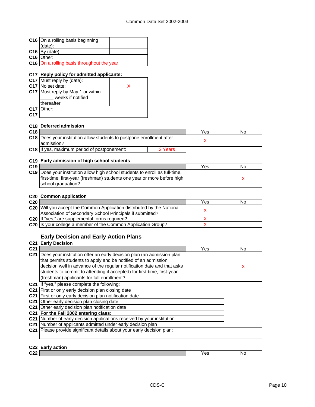|                                    | C16 On a rolling basis beginning                                                                                                      |                         |    |
|------------------------------------|---------------------------------------------------------------------------------------------------------------------------------------|-------------------------|----|
|                                    | (date):                                                                                                                               |                         |    |
|                                    | $C16$ By (date):                                                                                                                      |                         |    |
|                                    | C <sub>16</sub> Other:                                                                                                                |                         |    |
|                                    | C16 On a rolling basis throughout the year                                                                                            |                         |    |
|                                    |                                                                                                                                       |                         |    |
|                                    | C17 Reply policy for admitted applicants:                                                                                             |                         |    |
|                                    | C17 Must reply by (date):<br>C17 No set date:                                                                                         |                         |    |
|                                    | X                                                                                                                                     |                         |    |
|                                    | C17 Must reply by May 1 or within                                                                                                     |                         |    |
|                                    | weeks if notified<br>thereafter                                                                                                       |                         |    |
|                                    | C17 Other:                                                                                                                            |                         |    |
| C <sub>17</sub>                    |                                                                                                                                       |                         |    |
|                                    |                                                                                                                                       |                         |    |
|                                    | C18 Deferred admission                                                                                                                |                         |    |
| C18                                |                                                                                                                                       | Yes                     | No |
|                                    | C18 Does your institution allow students to postpone enrollment after                                                                 | X                       |    |
|                                    | admission?                                                                                                                            |                         |    |
|                                    | C18 If yes, maximum period of postponement:<br>2 Years                                                                                |                         |    |
|                                    |                                                                                                                                       |                         |    |
|                                    | C19 Early admission of high school students                                                                                           |                         |    |
| C <sub>19</sub>                    |                                                                                                                                       | Yes                     | No |
|                                    | C19 Does your institution allow high school students to enroll as full-time,                                                          |                         |    |
|                                    | first-time, first-year (freshman) students one year or more before high                                                               |                         | X  |
|                                    | school graduation?                                                                                                                    |                         |    |
|                                    |                                                                                                                                       |                         |    |
|                                    | <b>C20 Common application</b>                                                                                                         |                         |    |
|                                    |                                                                                                                                       |                         |    |
|                                    |                                                                                                                                       | Yes                     | No |
|                                    | C20 Will you accept the Common Application distributed by the National                                                                |                         |    |
|                                    | Association of Secondary School Principals if submitted?                                                                              | X                       |    |
|                                    | C20 If "yes," are supplemental forms required?                                                                                        | x                       |    |
|                                    | C20 Is your college a member of the Common Application Group?                                                                         | $\overline{\mathsf{x}}$ |    |
|                                    |                                                                                                                                       |                         |    |
|                                    | <b>Early Decision and Early Action Plans</b>                                                                                          |                         |    |
|                                    | <b>C21 Early Decision</b>                                                                                                             |                         |    |
|                                    |                                                                                                                                       | Yes                     | No |
|                                    | C21 Does your institution offer an early decision plan (an admission plan                                                             |                         |    |
|                                    | that permits students to apply and be notified of an admission                                                                        |                         |    |
|                                    | decision well in advance of the regular notification date and that asks                                                               |                         | X  |
|                                    | students to commit to attending if accepted) for first-time, first-year                                                               |                         |    |
|                                    | (freshman) applicants for fall enrollment?                                                                                            |                         |    |
|                                    |                                                                                                                                       |                         |    |
|                                    | C21 If "yes," please complete the following:                                                                                          |                         |    |
|                                    | C21 First or only early decision plan closing date                                                                                    |                         |    |
|                                    | C21 First or only early decision plan notification date                                                                               |                         |    |
|                                    | C21 Other early decision plan closing date                                                                                            |                         |    |
| C <sub>20</sub><br>C <sub>21</sub> | C21 Other early decision plan notification date                                                                                       |                         |    |
|                                    | C21 For the Fall 2002 entering class:                                                                                                 |                         |    |
|                                    | C21 Number of early decision applications received by your institution<br>C21 Number of applicants admitted under early decision plan |                         |    |

**C22** Yes No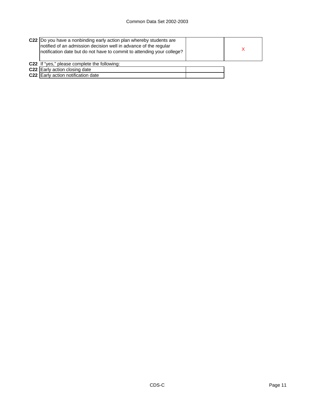| C22  Do you have a nonbinding early action plan whereby students are<br>notified of an admission decision well in advance of the regular<br>notification date but do not have to commit to attending your college? |  |
|--------------------------------------------------------------------------------------------------------------------------------------------------------------------------------------------------------------------|--|
| C22 If "yes," please complete the following:                                                                                                                                                                       |  |
| C22 Early action closing date                                                                                                                                                                                      |  |
| <b>C22</b> Early action notification date                                                                                                                                                                          |  |
|                                                                                                                                                                                                                    |  |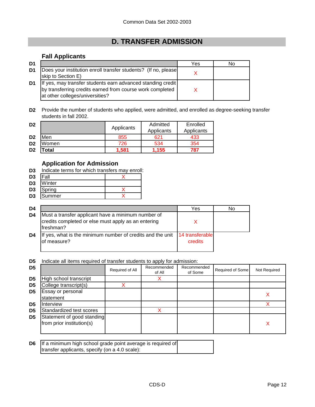# **D. TRANSFER ADMISSION**

### **Fall Applicants**

| D <sub>1</sub> |                                                                                                                                                             | Yes | No |
|----------------|-------------------------------------------------------------------------------------------------------------------------------------------------------------|-----|----|
| D <sub>1</sub> | Does your institution enroll transfer students? (If no, please<br>skip to Section E)                                                                        |     |    |
| D1             | If yes, may transfer students earn advanced standing credit<br>by transferring credits earned from course work completed<br>at other colleges/universities? |     |    |

**D2** Provide the number of students who applied, were admitted, and enrolled as degree-seeking transfer students in fall 2002.

| D <sub>2</sub> |       | Applicants | Admitted   | Enrolled   |
|----------------|-------|------------|------------|------------|
|                |       |            | Applicants | Applicants |
| D <sub>2</sub> | Men   | 855        | 621        | 433        |
| D <sub>2</sub> | Women | 726        | 534        | 354        |
| D <sub>2</sub> | 'otal | 1,581      | 1.155      | 787        |

### **Application for Admission**

**D3** Indicate terms for which transfers may enroll:

| D <sub>3</sub> | Fall   |  |
|----------------|--------|--|
| מח             | Minter |  |

- **D3** Winter **D3** Spring X
- **D3** Summer

| D4 |                                                                                                                        | Yes                        | No |
|----|------------------------------------------------------------------------------------------------------------------------|----------------------------|----|
| D4 | Must a transfer applicant have a minimum number of<br>credits completed or else must apply as an entering<br>freshman? |                            |    |
| D4 | If yes, what is the minimum number of credits and the unit<br>of measure?                                              | 14 transferable<br>credits |    |

**D5** Indicate all items required of transfer students to apply for admission:

| D <sub>5</sub> |                                                         | Required of All | Recommended<br>of All | Recommended<br>of Some | Required of Some | <b>Not Required</b> |
|----------------|---------------------------------------------------------|-----------------|-----------------------|------------------------|------------------|---------------------|
| D <sub>5</sub> | High school transcript                                  |                 |                       |                        |                  |                     |
| D <sub>5</sub> | College transcript(s)                                   |                 |                       |                        |                  |                     |
| D <sub>5</sub> | Essay or personal<br>statement                          |                 |                       |                        |                  |                     |
| D <sub>5</sub> | Interview                                               |                 |                       |                        |                  |                     |
| D <sub>5</sub> | Standardized test scores                                |                 |                       |                        |                  |                     |
| D <sub>5</sub> | Statement of good standing<br>from prior institution(s) |                 |                       |                        |                  |                     |

| <b>D6</b> If a minimum high school grade point average is required of |  |
|-----------------------------------------------------------------------|--|
| transfer applicants, specify (on a 4.0 scale):                        |  |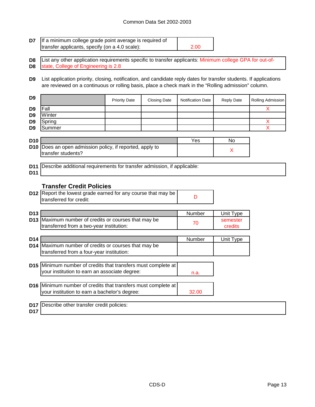| D7                                                       | If a minimum college grade point average is required of<br>transfer applicants, specify (on a 4.0 scale):                                                                                                                  |                      |                     | 2.00                     |                     |                                   |
|----------------------------------------------------------|----------------------------------------------------------------------------------------------------------------------------------------------------------------------------------------------------------------------------|----------------------|---------------------|--------------------------|---------------------|-----------------------------------|
| D <sub>8</sub><br>D <sub>8</sub>                         | List any other application requirements specific to transfer applicants: Minimum college GPA for out-of-<br>state, College of Engineering is 2.8                                                                           |                      |                     |                          |                     |                                   |
| D9                                                       | List application priority, closing, notification, and candidate reply dates for transfer students. If applications<br>are reviewed on a continuous or rolling basis, place a check mark in the "Rolling admission" column. |                      |                     |                          |                     |                                   |
| D <sub>9</sub>                                           |                                                                                                                                                                                                                            | <b>Priority Date</b> | <b>Closing Date</b> | <b>Notification Date</b> | <b>Reply Date</b>   | Rolling Admission                 |
| D <sub>9</sub><br>D <sub>9</sub><br>D <sub>9</sub><br>D9 | Fall<br>Winter<br>Spring<br>Summer                                                                                                                                                                                         |                      |                     |                          |                     | X<br>X<br>$\overline{\mathsf{X}}$ |
| D <sub>10</sub>                                          |                                                                                                                                                                                                                            |                      |                     | Yes                      | No                  |                                   |
| D <sub>10</sub>                                          | Does an open admission policy, if reported, apply to<br>transfer students?                                                                                                                                                 |                      |                     |                          | X                   |                                   |
| D <sub>11</sub><br>D <sub>11</sub>                       | Describe additional requirements for transfer admission, if applicable:                                                                                                                                                    |                      |                     |                          |                     |                                   |
|                                                          | <b>Transfer Credit Policies</b>                                                                                                                                                                                            |                      |                     |                          |                     |                                   |
|                                                          | D12 Report the lowest grade earned for any course that may be<br>transferred for credit:                                                                                                                                   |                      |                     | D                        |                     |                                   |
| D <sub>13</sub>                                          |                                                                                                                                                                                                                            |                      |                     | Number                   | Unit Type           |                                   |
| D <sub>13</sub>                                          | Maximum number of credits or courses that may be<br>transferred from a two-year institution:                                                                                                                               |                      |                     | 70                       | semester<br>credits |                                   |
| D <sub>14</sub>                                          |                                                                                                                                                                                                                            |                      |                     | Number                   | Unit Type           |                                   |
| D <sub>14</sub>                                          | Maximum number of credits or courses that may be<br>transferred from a four-year institution:                                                                                                                              |                      |                     |                          |                     |                                   |
|                                                          | D15 Minimum number of credits that transfers must complete at<br>your institution to earn an associate degree:                                                                                                             |                      |                     | n.a.                     |                     |                                   |
| D <sub>16</sub>                                          | Minimum number of credits that transfers must complete at<br>your institution to earn a bachelor's degree:                                                                                                                 |                      |                     | 32.00                    |                     |                                   |
| D <sub>17</sub><br>D17                                   | Describe other transfer credit policies:                                                                                                                                                                                   |                      |                     |                          |                     |                                   |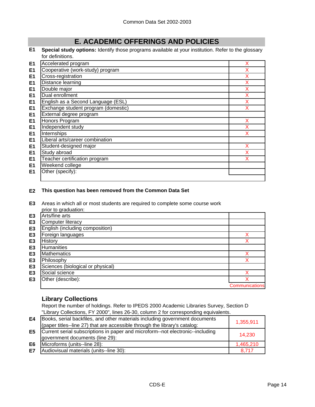# **E. ACADEMIC OFFERINGS AND POLICIES**

**E1 Special study options:** Identify those programs available at your institution. Refer to the glossary for definitions.

| E <sub>1</sub> | Accelerated program                 | x |
|----------------|-------------------------------------|---|
| E <sub>1</sub> | Cooperative (work-study) program    | x |
| E <sub>1</sub> | Cross-registration                  | X |
| E <sub>1</sub> | Distance learning                   | х |
| E <sub>1</sub> | Double major                        | х |
| E <sub>1</sub> | Dual enrollment                     | х |
| E <sub>1</sub> | English as a Second Language (ESL)  | X |
| E <sub>1</sub> | Exchange student program (domestic) | x |
| E <sub>1</sub> | External degree program             |   |
| E <sub>1</sub> | Honors Program                      | x |
| E1             | Independent study                   | X |
| E <sub>1</sub> | Internships                         | x |
| E <sub>1</sub> | Liberal arts/career combination     |   |
| E <sub>1</sub> | Student-designed major              | x |
| E <sub>1</sub> | Study abroad                        | х |
| E <sub>1</sub> | Teacher certification program       |   |
| E <sub>1</sub> | Weekend college                     |   |
| E <sub>1</sub> | Other (specify):                    |   |
|                |                                     |   |

### **E2 This question has been removed from the Common Data Set**

**E3** Areas in which all or most students are required to complete some course work prior to graduation:

|                | phor to graugation.               |                       |
|----------------|-----------------------------------|-----------------------|
| E <sub>3</sub> | Arts/fine arts                    |                       |
| E <sub>3</sub> | <b>Computer literacy</b>          |                       |
| E <sub>3</sub> | English (including composition)   |                       |
| E <sub>3</sub> | Foreign languages                 |                       |
| E <sub>3</sub> | History                           |                       |
| E <sub>3</sub> | Humanities                        |                       |
| E <sub>3</sub> | <b>Mathematics</b>                |                       |
| E <sub>3</sub> | Philosophy                        |                       |
| E <sub>3</sub> | Sciences (biological or physical) |                       |
| E <sub>3</sub> | Social science                    |                       |
| E <sub>3</sub> | Other (describe):                 |                       |
|                |                                   | <b>Communications</b> |

### **Library Collections**

Report the number of holdings. Refer to IPEDS 2000 Academic Libraries Survey, Section D "Library Collections, FY 2000", lines 26-30, column 2 for corresponding equivalents.

| E4             | Books, serial backfiles, and other materials including government documents<br>(paper titles-line 27) that are accessible through the library's catalog: | 1,355,911 |
|----------------|----------------------------------------------------------------------------------------------------------------------------------------------------------|-----------|
| E <sub>5</sub> | Current serial subscriptions in paper and microform--not electronic--including<br>government documents (line 29):                                        | 14.230    |
| E6             | Microforms (units--line 28):                                                                                                                             | 1,465,210 |
| E7             | Audiovisual materials (units--line 30):                                                                                                                  | 8.717     |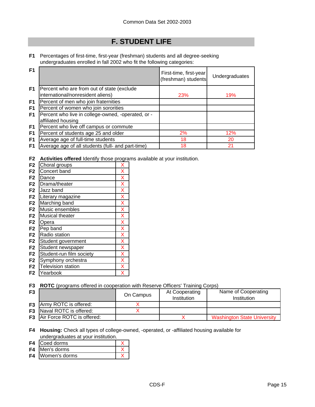## **F. STUDENT LIFE**

**F1** Percentages of first-time, first-year (freshman) students and all degree-seeking undergraduates enrolled in fall 2002 who fit the following categories:

| F <sub>1</sub> |                                                                          | First-time, first-year<br>(freshman) students | Undergraduates |
|----------------|--------------------------------------------------------------------------|-----------------------------------------------|----------------|
| F <sub>1</sub> | Percent who are from out of state (exclude                               |                                               |                |
|                | international/nonresident aliens)                                        | 23%                                           | 19%            |
| F1             | Percent of men who join fraternities                                     |                                               |                |
| F <sub>1</sub> | Percent of women who join sororities                                     |                                               |                |
| F1             | Percent who live in college-owned, -operated, or -<br>affiliated housing |                                               |                |
| F <sub>1</sub> | Percent who live off campus or commute                                   |                                               |                |
| F <sub>1</sub> | Percent of students age 25 and older                                     | 2%                                            | 12%            |
| F <sub>1</sub> | Average age of full-time students                                        | 18                                            | 20             |
| F <sub>1</sub> | Average age of all students (full- and part-time)                        | 18                                            | 21             |

**F2 Activities offered** Identify those programs available at your institution.

| F <sub>2</sub> | Choral groups            | Χ |
|----------------|--------------------------|---|
| F <sub>2</sub> | Concert band             | Χ |
| F <sub>2</sub> | Dance                    | X |
| F <sub>2</sub> | Drama/theater            | X |
| F <sub>2</sub> | Jazz band                | X |
| F <sub>2</sub> | Literary magazine        | X |
| F <sub>2</sub> | Marching band            | X |
| F <sub>2</sub> | Music ensembles          | X |
| F <sub>2</sub> | Musical theater          | X |
| F <sub>2</sub> | Opera                    | X |
| F <sub>2</sub> | Pep band                 | X |
| F <sub>2</sub> | Radio station            | X |
| F <sub>2</sub> | Student government       | X |
| F <sub>2</sub> | Student newspaper        | X |
| F <sub>2</sub> | Student-run film society | Χ |
| F <sub>2</sub> | Symphony orchestra       | Χ |
| F <sub>2</sub> | Television station       | Χ |
| F2             | Yearbook                 | x |

**F3 ROTC** (programs offered in cooperation with Reserve Officers' Training Corps)

| F <sub>3</sub> |                                      | On Campus | At Cooperating<br>Institution | Name of Cooperating<br>Institution |
|----------------|--------------------------------------|-----------|-------------------------------|------------------------------------|
|                | <b>F3</b> Army ROTC is offered:      |           |                               |                                    |
|                | <b>F3</b> Naval ROTC is offered:     |           |                               |                                    |
|                | <b>F3</b> Air Force ROTC is offered: |           |                               | <b>Washington State University</b> |

**F4 Housing:** Check all types of college-owned, -operated, or -affiliated housing available for undergraduates at your institution.

- **F4** Coed dorms X
- **F4** Men's dorms X
- **F4** Women's dorms X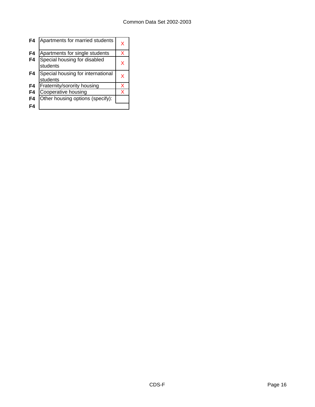| F4 | Apartments for married students               | x |
|----|-----------------------------------------------|---|
| F4 | Apartments for single students                | x |
| F4 | Special housing for disabled<br>students      | x |
| F4 | Special housing for international<br>students | x |
| F4 | Fraternity/sorority housing                   | x |
| F4 | Cooperative housing                           | x |
| F4 | Other housing options (specify):              |   |
| F4 |                                               |   |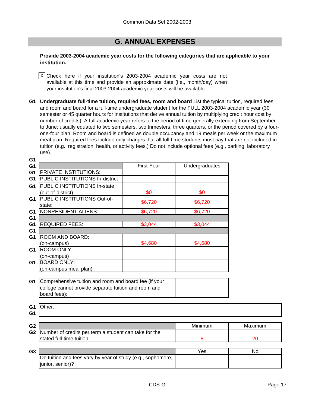### **G. ANNUAL EXPENSES**

### **Provide 2003-2004 academic year costs for the following categories that are applicable to your institution.**

Check here if your institution's 2003-2004 academic year costs are not X available at this time and provide an approximate date (i.e., month/day) when your institution's final 2003-2004 academic year costs will be available:

**G1 Undergraduate full-time tuition, required fees, room and board** List the typical tuition, required fees, and room and board for a full-time undergraduate student for the FULL 2003-2004 academic year (30 semester or 45 quarter hours for institutions that derive annual tuition by multiplying credit hour cost by number of credits). A full academic year refers to the period of time generally extending from September to June; usually equated to two semesters, two trimesters, three quarters, or the period covered by a fourone-four plan. Room and board is defined as double occupancy and 19 meals per week or the maximum meal plan. Required fees include only charges that all full-time students must pay that are not included in tuition (e.g., registration, health, or activity fees.) Do not include optional fees (e.g., parking, laboratory use).

| Maximum  |
|----------|
|          |
|          |
|          |
|          |
|          |
|          |
|          |
| 20<br>No |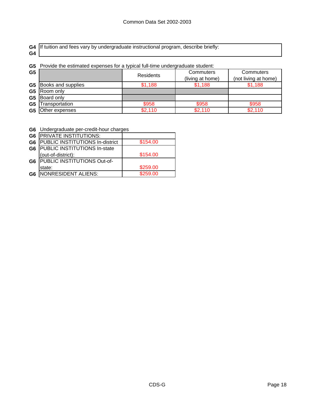|    | G4 If tuition and fees vary by undergraduate instructional program, describe briefly: |
|----|---------------------------------------------------------------------------------------|
| G4 |                                                                                       |

**G5** Provide the estimated expenses for a typical full-time undergraduate student:

| G <sub>5</sub> |                              | <b>Residents</b> | Commuters<br>(living at home) | Commuters<br>(not living at home) |  |
|----------------|------------------------------|------------------|-------------------------------|-----------------------------------|--|
|                | <b>G5</b> Books and supplies | \$1,188          | \$1,188                       | \$1,188                           |  |
| G <sub>5</sub> | Room only                    |                  |                               |                                   |  |
| G <sub>5</sub> | Board only                   |                  |                               |                                   |  |
| G <sub>5</sub> | Transportation               | \$958            | \$958                         | \$958                             |  |
| G <sub>5</sub> | Other expenses               | \$2,110          | \$2,110                       | \$2,110                           |  |

**G6** Undergraduate per-credit-hour charges

| G6             | <b>PRIVATE INSTITUTIONS:</b>        |          |
|----------------|-------------------------------------|----------|
| G <sub>6</sub> | PUBLIC INSTITUTIONS In-district     | \$154.00 |
| G <sub>6</sub> | <b>PUBLIC INSTITUTIONS In-state</b> |          |
|                | (out-of-district):                  | \$154.00 |
| G6             | PUBLIC INSTITUTIONS Out-of-         |          |
|                | state:                              | \$259.00 |
| G6             | NONRESIDENT ALIENS:                 | \$259.00 |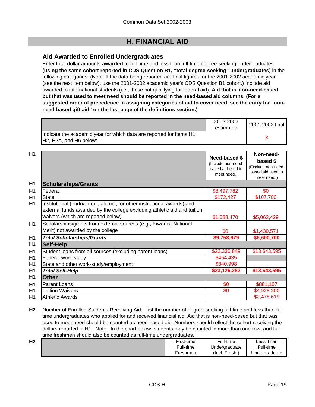## **H. FINANCIAL AID**

### **Aid Awarded to Enrolled Undergraduates**

Enter total dollar amounts **awarded** to full-time and less than full-time degree-seeking undergraduates **(using the same cohort reported in CDS Question B1, "total degree-seeking" undergraduates)** in the following categories. (Note: If the data being reported are final figures for the 2001-2002 academic year (see the next item below), use the 2001-2002 academic year's CDS Question B1 cohort.) Include aid awarded to international students (i.e., those not qualifying for federal aid). **Aid that is non-need-based but that was used to meet need should be reported in the need-based aid columns. (For a suggested order of precedence in assigning categories of aid to cover need, see the entry for "nonneed-based gift aid" on the last page of the definitions section.)**

|                                                                                                 | 2002-2003<br>estimated | 2001-2002 final |
|-------------------------------------------------------------------------------------------------|------------------------|-----------------|
| Indicate the academic year for which data are reported for items H1,<br>IH2. H2A. and H6 below: |                        |                 |

| H1             |                                                                                                                                                                                        | <b>Need-based \$</b><br>(Include non-need-<br>based aid used to<br>meet need.) | Non-need-<br>based \$<br>(Exclude non-need-<br>based aid used to<br>meet need.) |
|----------------|----------------------------------------------------------------------------------------------------------------------------------------------------------------------------------------|--------------------------------------------------------------------------------|---------------------------------------------------------------------------------|
| H1             | <b>Scholarships/Grants</b>                                                                                                                                                             |                                                                                |                                                                                 |
| H1             | Federal                                                                                                                                                                                | \$8,497,782                                                                    | \$0                                                                             |
| H <sub>1</sub> | <b>State</b>                                                                                                                                                                           | \$172,427                                                                      | \$107,700                                                                       |
| H <sub>1</sub> | Institutional (endowment, alumni, or other institutional awards) and<br>external funds awarded by the college excluding athletic aid and tuition<br>waivers (which are reported below) | \$1,088,470                                                                    | \$5,062,429                                                                     |
| <b>H1</b>      | Scholarships/grants from external sources (e.g., Kiwanis, National<br>Merit) not awarded by the college                                                                                | \$0                                                                            | \$1,430,571                                                                     |
| H <sub>1</sub> | <b>Total Scholarships/Grants</b>                                                                                                                                                       | \$9,758,679                                                                    | \$6,600,700                                                                     |
| H1             | Self-Help                                                                                                                                                                              |                                                                                |                                                                                 |
| H1             | Student loans from all sources (excluding parent loans)                                                                                                                                | \$22,330,849                                                                   | \$13,643,595                                                                    |
| H <sub>1</sub> | Federal work-study                                                                                                                                                                     | \$454,435                                                                      |                                                                                 |
| H <sub>1</sub> | State and other work-study/employment                                                                                                                                                  | \$340,998                                                                      |                                                                                 |
| H <sub>1</sub> | <b>Total Self-Help</b>                                                                                                                                                                 | \$23,126,282                                                                   | \$13,643,595                                                                    |
| H <sub>1</sub> | <b>Other</b>                                                                                                                                                                           |                                                                                |                                                                                 |
| H <sub>1</sub> | <b>Parent Loans</b>                                                                                                                                                                    | \$0                                                                            | \$881,107                                                                       |
| H <sub>1</sub> | <b>Tuition Waivers</b>                                                                                                                                                                 | \$0                                                                            | \$4,928,200                                                                     |
| H <sub>1</sub> | <b>Athletic Awards</b>                                                                                                                                                                 |                                                                                | \$2,478,619                                                                     |

**H2** Number of Enrolled Students Receiving Aid: List the number of degree-seeking full-time and less-than-fulltime undergraduates who applied for and received financial aid. Aid that is non-need-based but that was used to meet need should be counted as need-based aid. Numbers should reflect the cohort receiving the dollars reported in H1. Note: In the chart below, students may be counted in more than one row, and fulltime freshmen should also be counted as full-time undergraduates.

| பி<br>пz | First-time | Full-time      | Less Than     |
|----------|------------|----------------|---------------|
|          | Full-time  | Undergraduate  | Full-time     |
|          | Freshmen   | (Incl. Fresh., | Undergraduate |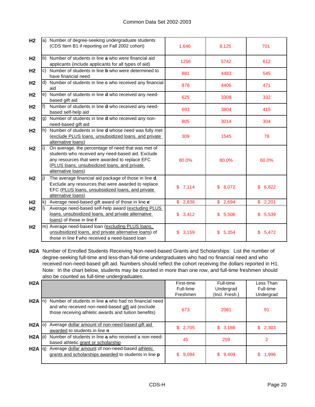| H <sub>2</sub> |     | a) Number of degree-seeking undergraduate students<br>(CDS Item B1 if reporting on Fall 2002 cohort)                                                                                                                            | 1,646       | 8,125        | 701         |
|----------------|-----|---------------------------------------------------------------------------------------------------------------------------------------------------------------------------------------------------------------------------------|-------------|--------------|-------------|
| H <sub>2</sub> |     | b) Number of students in line a who were financial aid<br>applicants (include applicants for all types of aid)                                                                                                                  | 1256        | 5742         | 612         |
| H <sub>2</sub> |     | c) Number of students in line <b>b</b> who were determined to<br>have financial need                                                                                                                                            | 881         | 4483         | 545         |
| H <sub>2</sub> |     | d) Number of students in line c who received any financial<br>aid                                                                                                                                                               | 878         | 4406         | 471         |
| H <sub>2</sub> |     | e) Number of students in line <b>d</b> who received any need-<br>based gift aid                                                                                                                                                 | 625         | 3308         | 332         |
| H <sub>2</sub> | lf) | Number of students in line d who received any need-<br>based self-help aid                                                                                                                                                      | 693         | 3804         | 415         |
| H <sub>2</sub> |     | g) Number of students in line <b>d</b> who received any non-<br>need-based gift aid                                                                                                                                             | 805         | 3014         | 304         |
| H <sub>2</sub> |     | h) Number of students in line <b>d</b> whose need was fully met<br>(exclude PLUS loans, unsubsidized loans, and private<br>alternative loans)                                                                                   | 309         | 1545         | 78          |
| H <sub>2</sub> |     | On average, the percentage of need that was met of<br>students who received any need-based aid. Exclude<br>any resources that were awarded to replace EFC<br>(PLUS loans, unsubsidized loans, and private<br>alternative loans) | 80.0%       | 80.0%        | 60.0%       |
| H <sub>2</sub> | Ii) | The average financial aid package of those in line d.<br>Exclude any resources that were awarded to replace<br>EFC (PLUS loans, unsubsidized loans, and private<br>alternative loans)                                           | \$7,114     | \$8,072      | \$6,822     |
| H <sub>2</sub> | lk) | Average need-based gift award of those in line e                                                                                                                                                                                | \$2,836     | \$2,694      | \$2,201     |
| H <sub>2</sub> |     | Average need-based self-help award (excluding PLUS<br>loans, unsubsidized loans, and private alternative<br>loans) of those in line f                                                                                           | \$3,412     | \$5,506      | \$5,539     |
| H <sub>2</sub> |     | m) Average need-based loan (excluding PLUS loans,<br>unsubsidized loans, and private alternative loans) of<br>those in line f who received a need-based loan                                                                    | \$<br>3,159 | 5,354<br>\$. | \$<br>5,472 |

**H2A** Number of Enrolled Students Receiving Non-need-based Grants and Scholarships: List the number of degree-seeking full-time and less-than-full-time undergraduates who had no financial need and who received non-need-based gift aid. Numbers should reflect the cohort receiving the dollars reported in H1. Note: In the chart below, students may be counted in more than one row, and full-time freshmen should also be counted as full-time undergraduates.

| H2A               |                                                                                                                                                                      | First-time<br>Full-time<br>Freshmen | Full-time<br>Undergrad<br>(Incl. Fresh.) | Less Than<br>Full-time<br>Undergrad |
|-------------------|----------------------------------------------------------------------------------------------------------------------------------------------------------------------|-------------------------------------|------------------------------------------|-------------------------------------|
| $H2A \ln$         | Number of students in line a who had no financial need<br>and who received non-need-based gift aid (exclude<br>those receiving athletic awards and tuition benefits) | 673                                 | 2081                                     | 91                                  |
| $H2A$ (o)         | Average dollar amount of non-need-based gift aid<br>awarded to students in line n                                                                                    | \$2,705                             | \$3,186                                  | \$2,303                             |
| $H2A$ $ p\rangle$ | Number of students in line a who received a non-need-<br>based athletic grant or scholarship                                                                         | 45                                  | 259                                      |                                     |
| $H2A$ $ q\rangle$ | Average dollar amount of non-need-based athletic<br>grants and scholarships awarded to students in line p                                                            | \$.<br>9,094                        | \$9,409                                  | 1,996                               |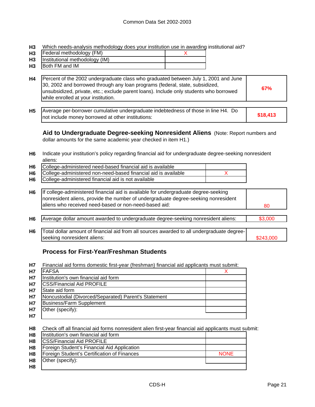**H3** Which needs-analysis methodology does your institution use in awarding institutional aid?

- **H3** Federal methodology (FM) and the setting of the setting  $X$
- **H3** Institutional methodology (IM)

**H3** Both FM and IM

|  | H4 | Percent of the 2002 undergraduate class who graduated between July 1, 2001 and June<br>30, 2002 and borrowed through any loan programs (federal, state, subsidized,<br>unsubsidized, private, etc.; exclude parent loans). Include only students who borrowed<br>while enrolled at your institution. | 67% |
|--|----|------------------------------------------------------------------------------------------------------------------------------------------------------------------------------------------------------------------------------------------------------------------------------------------------------|-----|
|--|----|------------------------------------------------------------------------------------------------------------------------------------------------------------------------------------------------------------------------------------------------------------------------------------------------------|-----|

**H5 \$18,413** Average per-borrower cumulative undergraduate indebtedness of those in line H4. Do not include money borrowed at other institutions:

**Aid to Undergraduate Degree-seeking Nonresident Aliens** (Note: Report numbers and dollar amounts for the same academic year checked in item H1.)

**H6** Indicate your institution's policy regarding financial aid for undergraduate degree-seeking nonresident aliens:

| H6 | College-administered need-based financial aid is available        |  |
|----|-------------------------------------------------------------------|--|
|    | H6 College-administered non-need-based financial aid is available |  |
|    | H6 College-administered financial aid is not available            |  |

| H6   If college-administered financial aid is available for undergraduate degree-seeking |    |
|------------------------------------------------------------------------------------------|----|
| Inonresident aliens, provide the number of undergraduate degree-seeking nonresident      |    |
| aliens who received need-based or non-need-based aid:                                    | 80 |

H6 | Average dollar amount awarded to undergraduate degree-seeking nonresident aliens: | \$3,000

**H6** \$243,000 Total dollar amount of financial aid from all sources awarded to all undergraduate degreeseeking nonresident aliens:

### **Process for First-Year/Freshman Students**

**H7** Financial aid forms domestic first-year (freshman) financial aid applicants must submit:

| <b>H7</b> | <b>IFAFSA</b>                                        |  |
|-----------|------------------------------------------------------|--|
| <b>H7</b> | Institution's own financial aid form                 |  |
| <b>H7</b> | <b>CSS/Financial Aid PROFILE</b>                     |  |
| <b>H7</b> | State aid form                                       |  |
| <b>H7</b> | Noncustodial (Divorced/Separated) Parent's Statement |  |
| <b>H7</b> | Business/Farm Supplement                             |  |
| H7        | Other (specify):                                     |  |
| <b>H7</b> |                                                      |  |

**H8** Check off all financial aid forms nonresident alien first-year financial aid applicants must submit:

| H <sub>8</sub> | Institution's own financial aid form        |             |
|----------------|---------------------------------------------|-------------|
| H8             | <b>CSS/Financial Aid PROFILE</b>            |             |
| H8             | Foreign Student's Financial Aid Application |             |
| H8             | Foreign Student's Certification of Finances | <b>NONE</b> |
| H <sub>8</sub> | Other (specify):                            |             |
| H <sub>8</sub> |                                             |             |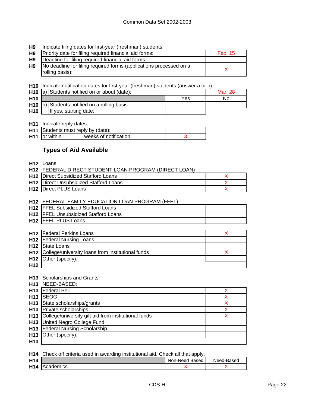#### **H9** Indicate filing dates for first-year (freshman) students:

| H9 | Priority date for filing required financial aid forms:                                | Feb. 15 |
|----|---------------------------------------------------------------------------------------|---------|
| H9 | Deadline for filing required financial aid forms:                                     |         |
| H9 | No deadline for filing required forms (applications processed on a<br>rolling basis): |         |

**H10** Indicate notification dates for first-year (freshman) students (answer a or b):

|                 | H <sub>10</sub> a) Students notified on or about (date): | Mar. 28 |    |
|-----------------|----------------------------------------------------------|---------|----|
| H <sub>10</sub> |                                                          | Yes     | No |
|                 | H <sub>10</sub> b) Students notified on a rolling basis: |         |    |
| <b>H10</b>      | If yes, starting date:                                   |         |    |

**H11** Indicate reply dates:

|                           | H11 Students must reply by (date): |  |
|---------------------------|------------------------------------|--|
| H <sub>11</sub> or within | weeks of notification.             |  |

### **Types of Aid Available**

**H12** Loans

| <b>H12 FEDERAL DIRECT STUDENT LOAN PROGRAM (DIRECT LOAN)</b> |  |
|--------------------------------------------------------------|--|
|                                                              |  |

| <b>H12</b> Direct Subsidized Stafford Loans   |  |
|-----------------------------------------------|--|
| <b>H12</b> Direct Unsubsidized Stafford Loans |  |
| <b>H12</b> Direct PLUS Loans                  |  |

### **H12** FEDERAL FAMILY EDUCATION LOAN PROGRAM (FFEL)

| <b>H12 IFFEL Subsidized Stafford Loans</b>  |  |
|---------------------------------------------|--|
| <b>H12</b> FFEL Unsubsidized Stafford Loans |  |
| <b>H12 IFFEL PLUS Loans</b>                 |  |

|     | <b>H12</b> Federal Perkins Loans                             |  |
|-----|--------------------------------------------------------------|--|
|     | <b>H12</b>   Federal Nursing Loans                           |  |
|     | H <sub>12</sub> State Loans                                  |  |
|     | <b>H12</b> College/university loans from institutional funds |  |
|     | $H12$ Other (specify):                                       |  |
| H12 |                                                              |  |

### **H13** Scholarships and Grants

|                 | H13 NEED-BASED:                                          |  |
|-----------------|----------------------------------------------------------|--|
|                 | <b>H13</b> Federal Pell                                  |  |
| H <sub>13</sub> | <b>SEOG</b>                                              |  |
|                 | H13 State scholarships/grants                            |  |
|                 | <b>H13</b> Private scholarships                          |  |
|                 | H13 College/university gift aid from institutional funds |  |
|                 | H13 United Negro College Fund                            |  |
|                 | H13 Federal Nursing Scholarship                          |  |
|                 | H13 Other (specify):                                     |  |
| H <sub>13</sub> |                                                          |  |

**H14** Check off criteria used in awarding institutional aid. Check all that apply.

| H <sub>14</sub> |                  | Non-Need<br>Based | Need-Based |
|-----------------|------------------|-------------------|------------|
| H <sub>14</sub> | <b>Academics</b> |                   |            |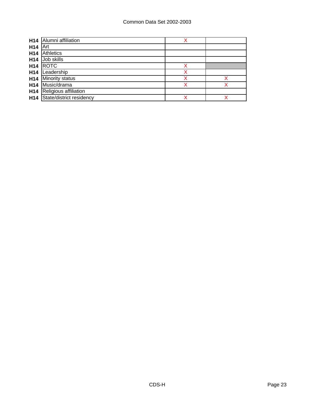| H <sub>14</sub> | Alumni affiliation       |  |
|-----------------|--------------------------|--|
| H <sub>14</sub> | Art                      |  |
| H <sub>14</sub> | <b>Athletics</b>         |  |
| H <sub>14</sub> | Job skills               |  |
| H <sub>14</sub> | <b>ROTC</b>              |  |
| H <sub>14</sub> | Leadership               |  |
| H <sub>14</sub> | <b>Minority status</b>   |  |
| H <sub>14</sub> | Music/drama              |  |
| H <sub>14</sub> | Religious affiliation    |  |
| H <sub>14</sub> | State/district residency |  |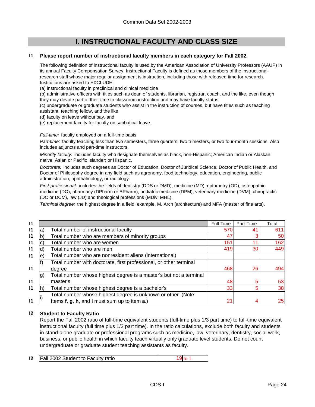### **I. INSTRUCTIONAL FACULTY AND CLASS SIZE**

#### **I1 Please report number of instructional faculty members in each category for Fall 2002.**

The following definition of instructional faculty is used by the American Association of University Professors (AAUP) in its annual Faculty Compensation Survey. Instructional Faculty is defined as those members of the instructionalresearch staff whose major regular assignment is instruction, including those with released time for research. Institutions are asked to EXCLUDE:

(a) instructional faculty in preclinical and clinical medicine

(b) administrative officers with titles such as dean of students, librarian, registrar, coach, and the like, even though they may devote part of their time to classroom instruction and may have faculty status,

(c) undergraduate or graduate students who assist in the instruction of courses, but have titles such as teaching assistant, teaching fellow, and the like

(d) faculty on leave without pay, and

(e) replacement faculty for faculty on sabbatical leave.

*Full-time:* faculty employed on a full-time basis

*Part-time:* faculty teaching less than two semesters, three quarters, two trimesters, or two four-month sessions. Also includes adjuncts and part-time instructors.

*Minority faculty:* includes faculty who designate themselves as black, non-Hispanic; American Indian or Alaskan native; Asian or Pacific Islander; or Hispanic.

*Doctorate:* includes such degrees as Doctor of Education, Doctor of Juridical Science, Doctor of Public Health, and Doctor of Philosophy degree in any field such as agronomy, food technology, education, engineering, public administration, ophthalmology, or radiology.

*First-professional:* includes the fields of dentistry (DDS or DMD), medicine (MD), optometry (OD), osteopathic medicine (DO), pharmacy (DPharm or BPharm), podiatric medicine (DPM), veterinary medicine (DVM), chiropractic (DC or DCM), law (JD) and theological professions (MDiv, MHL).

*Terminal degree:* the highest degree in a field: example, M. Arch (architecture) and MFA (master of fine arts).

| Full-Time<br>570<br>47                                             | Part-Time<br>41 | Total<br>611           |
|--------------------------------------------------------------------|-----------------|------------------------|
|                                                                    |                 |                        |
|                                                                    |                 |                        |
|                                                                    |                 | 50                     |
|                                                                    |                 | 162                    |
|                                                                    | 30              | 449                    |
|                                                                    |                 |                        |
|                                                                    |                 |                        |
|                                                                    | 26              | 494                    |
| Total number whose highest degree is a master's but not a terminal |                 |                        |
|                                                                    |                 | 53                     |
|                                                                    |                 | 38                     |
|                                                                    |                 |                        |
| 2 <sup>1</sup>                                                     |                 | 25                     |
|                                                                    | 151             | 419<br>468<br>48<br>33 |

#### **I2 Student to Faculty Ratio**

Report the Fall 2002 ratio of full-time equivalent students (full-time plus 1/3 part time) to full-time equivalent instructional faculty (full time plus 1/3 part time). In the ratio calculations, exclude both faculty and students in stand-alone graduate or professional programs such as medicine, law, veterinary, dentistry, social work, business, or public health in which faculty teach virtually only graduate level students. Do not count undergraduate or graduate student teaching assistants as faculty.

|  | <b>12</b>   Fall 2002 Student to Faculty ratio | 19 <sub>to</sub> |  |
|--|------------------------------------------------|------------------|--|
|--|------------------------------------------------|------------------|--|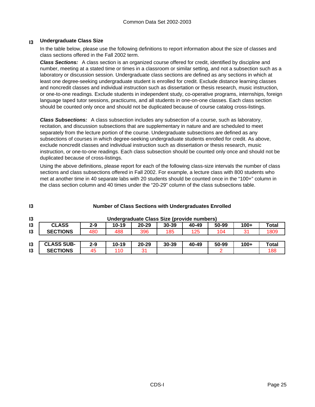#### **I3 Undergraduate Class Size**

In the table below, please use the following definitions to report information about the size of classes and class sections offered in the Fall 2002 term.

*Class Sections:* A class section is an organized course offered for credit, identified by discipline and number, meeting at a stated time or times in a classroom or similar setting, and not a subsection such as a laboratory or discussion session. Undergraduate class sections are defined as any sections in which at least one degree-seeking undergraduate student is enrolled for credit. Exclude distance learning classes and noncredit classes and individual instruction such as dissertation or thesis research, music instruction, or one-to-one readings. Exclude students in independent study, co-operative programs, internships, foreign language taped tutor sessions, practicums, and all students in one-on-one classes. Each class section should be counted only once and should not be duplicated because of course catalog cross-listings.

*Class Subsections:* A class subsection includes any subsection of a course, such as laboratory, recitation, and discussion subsections that are supplementary in nature and are scheduled to meet separately from the lecture portion of the course. Undergraduate subsections are defined as any subsections of courses in which degree-seeking undergraduate students enrolled for credit. As above, exclude noncredit classes and individual instruction such as dissertation or thesis research, music instruction, or one-to-one readings. Each class subsection should be counted only once and should not be duplicated because of cross-listings.

Using the above definitions, please report for each of the following class-size intervals the number of class sections and class subsections offered in Fall 2002. For example, a lecture class with 800 students who met at another time in 40 separate labs with 20 students should be counted once in the "100+" column in the class section column and 40 times under the "20-29" column of the class subsections table.

| 13 | <b>Number of Class Sections with Undergraduates Enrolled</b> |         |           |           |                                            |       |       |        |       |
|----|--------------------------------------------------------------|---------|-----------|-----------|--------------------------------------------|-------|-------|--------|-------|
| 13 |                                                              |         |           |           | Undergraduate Class Size (provide numbers) |       |       |        |       |
| 13 | <b>CLASS</b>                                                 | $2 - 9$ | $10 - 19$ | $20 - 29$ | $30 - 39$                                  | 40-49 | 50-99 | $100+$ | Total |
| 13 | <b>SECTIONS</b>                                              | 480     | 488       | 396       | 185                                        | 125   | 104   | 31     | 1809  |
|    |                                                              |         |           |           |                                            |       |       |        |       |
| 13 | <b>CLASS SUB-</b>                                            | $2 - 9$ | $10 - 19$ | $20 - 29$ | $30 - 39$                                  | 40-49 | 50-99 | $100+$ | Total |
| 13 | <b>SECTIONS</b>                                              | 45      | 110       | 31        |                                            |       |       |        | 188   |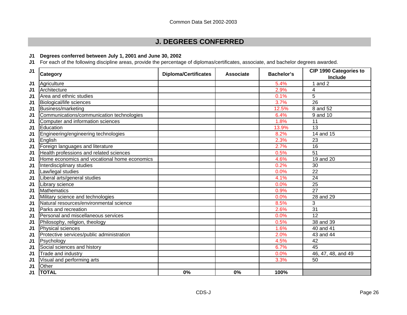### **J. DEGREES CONFERRED**

### **J1 Degrees conferred between July 1, 2001 and June 30, 2002**

**J1** For each of the following discipline areas, provide the percentage of diplomas/certificates, associate, and bachelor degrees awarded.

| J1             | Category                                     | <b>Diploma/Certificates</b> | <b>Associate</b> | <b>Bachelor's</b> | CIP 1990 Categories to<br>Include |
|----------------|----------------------------------------------|-----------------------------|------------------|-------------------|-----------------------------------|
| J1             | Agriculture                                  |                             |                  | 5.4%              | 1 and $2$                         |
| J1             | Architecture                                 |                             |                  | 2.9%              | 4                                 |
| J <sub>1</sub> | Area and ethnic studies                      |                             |                  | 0.1%              | 5                                 |
| J1             | Biological/life sciences                     |                             |                  | 3.7%              | 26                                |
| J <sub>1</sub> | Business/marketing                           |                             |                  | 12.5%             | 8 and 52                          |
| J <sub>1</sub> | Communications/communication technologies    |                             |                  | 6.4%              | 9 and 10                          |
| J1             | Computer and information sciences            |                             |                  | 1.8%              | 11                                |
| J <sub>1</sub> | Education                                    |                             |                  | 13.9%             | 13                                |
| J <sub>1</sub> | Engineering/engineering technologies         |                             |                  | 8.2%              | 14 and 15                         |
| J1             | English                                      |                             |                  | 2.3%              | 23                                |
| J1             | Foreign languages and literature             |                             |                  | 2.7%              | 16                                |
| J1             | Health professions and related sciences      |                             |                  | 0.5%              | $\overline{51}$                   |
| J1             | Home economics and vocational home economics |                             |                  | 4.6%              | 19 and 20                         |
| J <sub>1</sub> | Interdisciplinary studies                    |                             |                  | 0.2%              | 30                                |
| J <sub>1</sub> | Law/legal studies                            |                             |                  | 0.0%              | 22                                |
| J1             | Liberal arts/general studies                 |                             |                  | 4.1%              | 24                                |
| J <sub>1</sub> | Library science                              |                             |                  | 0.0%              | 25                                |
| J <sub>1</sub> | <b>Mathematics</b>                           |                             |                  | 0.9%              | 27                                |
| J1             | Military science and technologies            |                             |                  | 0.0%              | 28 and 29                         |
| J <sub>1</sub> | Natural resources/environmental science      |                             |                  | 8.5%              | 3                                 |
| J1             | Parks and recreation                         |                             |                  | 2.6%              | 31                                |
| J1             | Personal and miscellaneous services          |                             |                  | 0.0%              | 12                                |
| J1             | Philosophy, religion, theology               |                             |                  | 0.5%              | 38 and 39                         |
| J <sub>1</sub> | Physical sciences                            |                             |                  | 1.6%              | 40 and 41                         |
| J1             | Protective services/public administration    |                             |                  | 2.0%              | 43 and 44                         |
| J1             | Psychology                                   |                             |                  | 4.5%              | 42                                |
| J1             | Social sciences and history                  |                             |                  | 6.7%              | 45                                |
| J1             | Trade and industry                           |                             |                  | 0.0%              | 46, 47, 48, and 49                |
| J <sub>1</sub> | Visual and performing arts                   |                             |                  | 3.3%              | 50                                |
| J1             | Other                                        |                             |                  |                   |                                   |
| J <sub>1</sub> | <b>TOTAL</b>                                 | 0%                          | 0%               | 100%              |                                   |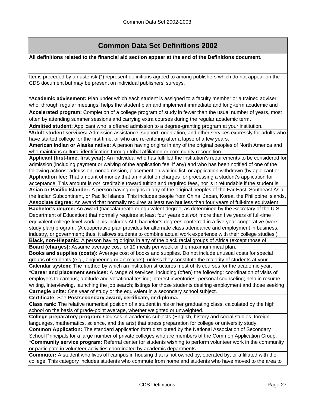## **Common Data Set Definitions 2002**

**All definitions related to the financial aid section appear at the end of the Definitions document.**

Items preceded by an asterisk (\*) represent definitions agreed to among publishers which do not appear on the CDS document but may be present on individual publishers' surveys.

**\*Academic advisement:** Plan under which each student is assigned to a faculty member or a trained adviser, who, through regular meetings, helps the student plan and implement immediate and long-term academic and

Accelerated program: Completion of a college program of study in fewer than the usual number of years, most often by attending summer sessions and carrying extra courses during the regular academic term**.**

**Admitted student:** Applicant who is offered admission to a degree-granting program at your institution. **\*Adult student services:** Admission assistance, support, orientation, and other services expressly for adults who have started college for the first time, or who are re-entering after a lapse of a few years.

**American Indian or Alaska native:** A person having origins in any of the original peoples of North America and who maintains cultural identification through tribal affiliation or community recognition.

**Applicant (first-time, first year):** An individual who has fulfilled the institution's requirements to be considered for admission (including payment or waiving of the application fee, if any) and who has been notified of one of the following actions: admission, nonadmission, placement on waiting list, or application withdrawn (by applicant or **Application fee:** That amount of money that an institution charges for processing a student's application for

acceptance. This amount is *not* creditable toward tuition and required fees, nor is it refundable if the student is **Asian or Pacific Islander:** A person having origins in any of the original peoples of the Far East, Southeast Asia, the Indian Subcontinent, or Pacific Islands. This includes people from China, Japan, Korea, the Philippine Islands,

**Associate degree:** An award that normally requires at least two but less than four years of full-time equivalent **Bachelor's degree:** An award (baccalaureate or equivalent degree, as determined by the Secretary of the U.S. Department of Education) that normally requires at least four years but *not* more than five years of full-time equivalent college-level work. This includes ALL bachelor's degrees conferred in a five-year cooperative (workstudy plan) program. (A cooperative plan provides for alternate class attendance and employment in business, industry, or government; thus, it allows students to combine actual work experience with their college studies.) **Black, non-Hispanic:** A person having origins in any of the black racial groups of Africa (except those of

**Board (charges):** Assume average cost for 19 meals per week or the maximum meal plan.

**Books and supplies (costs):** Average cost of books and supplies. Do not include unusual costs for special groups of students (e.g., engineering or art majors), unless they constitute the majority of students at your **Calendar system:** The method by which an institution structures most of its courses for the academic year.

**\*Career and placement services:** A range of services, including (often) the following: coordination of visits of employers to campus; aptitude and vocational testing; interest inventories, personal counseling; help in resume writing, interviewing, launching the job search; listings for those students desiring employment and those seeking **Carnegie units:** One year of study or the equivalent in a secondary school subject.

**Certificate:** See **Postsecondary award, certificate, or diploma.**

**Class rank:** The relative numerical position of a student in his or her graduating class, calculated by the high school on the basis of grade-point average, whether weighted or unweighted.

**College-preparatory program:** Courses in academic subjects (English, history and social studies, foreign languages, mathematics, science, and the arts) that stress preparation for college or university study.

**Common Application:** The standard application form distributed by the National Association of Secondary School Principals for a large number of private colleges who are members of the Common Application Group. **\*Community service program:** Referral center for students wishing to perform volunteer work in the community or participate in volunteer activities coordinated by academic departments.

**Commuter:** A student who lives off campus in housing that is not owned by, operated by, or affiliated with the college. This category includes students who commute from home and students who have moved to the area to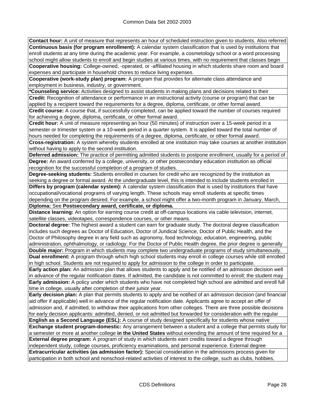**Contact hour:** A unit of measure that represents an hour of scheduled instruction given to students. Also referred **Continuous basis (for program enrollment):** A calendar system classification that is used by institutions that enroll students at any time during the academic year. For example, a cosmetology school or a word processing school might allow students to enroll and begin studies at various times, with no requirement that classes begin **Cooperative housing:** College-owned, -operated, or -affiliated housing in which students share room and board expenses and participate in household chores to reduce living expenses.

**Cooperative (work-study plan) program:** A program that provides for alternate class attendance and employment in business, industry, or government.

**\*Counseling service:** Activities designed to assist students in making plans and decisions related to their **Credit:** Recognition of attendance or performance in an instructional activity (course or program) that can be applied by a recipient toward the requirements for a degree, diploma, certificate, or other formal award.

**Credit course:** A course that, if successfully completed, can be applied toward the number of courses required for achieving a degree, diploma, certificate, or other formal award.

**Credit hour:** A unit of measure representing an hour (50 minutes) of instruction over a 15-week period in a semester or trimester system or a 10-week period in a quarter system. It is applied toward the total number of hours needed for completing the requirements of a degree, diploma, certificate, or other formal award.

**Cross-registration:** A system whereby students enrolled at one institution may take courses at another institution without having to apply to the second institution.

**Deferred admission:** The practice of permitting admitted students to postpone enrollment, usually for a period of **Degree:** An award conferred by a college, university, or other postsecondary education institution as official recognition for the successful completion of a program of studies.

**Degree-seeking students:** Students enrolled in courses for credit who are recognized by the institution as seeking a degree or formal award. At the undergraduate level, this is intended to include students enrolled in **Differs by program (calendar system):** A calendar system classification that is used by institutions that have occupational/vocational programs of varying length. These schools may enroll students at specific times depending on the program desired. For example, a school might offer a two-month program in January, March, **Diploma:** See **Postsecondary award, certificate, or diploma.**

**Distance learning:** An option for earning course credit at off-campus locations via cable television, internet, satellite classes, videotapes, correspondence courses, or other means.

**Doctoral degree:** The highest award a student can earn for graduate study. The doctoral degree classification includes such degrees as Doctor of Education, Doctor of Juridical Science, Doctor of Public Health, and the Doctor of Philosophy degree in any field such as agronomy, food technology, education, engineering, public administration, ophthalmology, or radiology. For the Doctor of Public Health degree, the prior degree is generally

**Double major:** Program in which students may complete two undergraduate programs of study simultaneously. **Dual enrollment:** A program through which high school students may enroll in college courses while still enrolled in high school. Students are not required to apply for admission to the college in order to participate.

**Early action plan:** An admission plan that allows students to apply and be notified of an admission decision well in advance of the regular notification dates. If admitted, the candidate is not committed to enroll; the student may **Early admission:** A policy under which students who have not completed high school are admitted and enroll full time in college, usually after completion of their junior year.

**Early decision plan:** A plan that permits students to apply and be notified of an admission decision (and financial aid offer if applicable) well in advance of the regular notification date. Applicants agree to accept an offer of admission and, if admitted, to withdraw their applications from other colleges. There are three possible decisions for early decision applicants: admitted, denied, or not admitted but forwarded for consideration with the regular **English as a Second Language (ESL):** A course of study designed specifically for students whose native

**Exchange student program-domestic:** Any arrangement between a student and a college that permits study for a semester or more at another college **in the United States** without extending the amount of time required for a **External degree program:** A program of study in which students earn credits toward a degree through independent study, college courses, proficiency examinations, and personal experience. External degree **Extracurricular activities (as admission factor):** Special consideration in the admissions process given for participation in both school and nonschool-related activities of interest to the college, such as clubs, hobbies,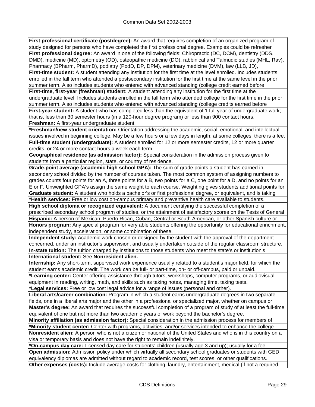**First professional certificate (postdegree):** An award that requires completion of an organized program of study designed for persons who have completed the first professional degree. Examples could be refresher **First professional degree:** An award in one of the following fields: Chiropractic (DC, DCM), dentistry (DDS, DMD), medicine (MD), optometry (OD), osteopathic medicine (DO), rabbinical and Talmudic studies (MHL, Rav), Pharmacy (BPharm, PharmD), podiatry (PodD, DP, DPM), veterinary medicine (DVM), law (LLB, JD),

**First-time student:** A student attending any institution for the first time at the level enrolled. Includes students enrolled in the fall term who attended a postsecondary institution for the first time at the same level in the prior summer term. Also includes students who entered with advanced standing (college credit earned before

**First-time, first-year (freshman) student:** A student attending any institution for the first time at the undergraduate level. Includes students enrolled in the fall term who attended college for the first time in the prior summer term. Also includes students who entered with advanced standing (college credits earned before

**First-year student:** A student who has completed less than the equivalent of 1 full year of undergraduate work; that is, less than 30 semester hours (in a 120-hour degree program) or less than 900 contact hours. **Freshman:** A first-year undergraduate student.

**\*Freshman/new student orientation:** Orientation addressing the academic, social, emotional, and intellectual issues involved in beginning college. May be a few hours or a few days in length; at some colleges, there is a fee. **Full-time student (undergraduate):** A student enrolled for 12 or more semester credits, 12 or more quarter credits, or 24 or more contact hours a week each term.

**Geographical residence (as admission factor):** Special consideration in the admission process given to students from a particular region, state, or country of residence.

**Grade-point average (academic high school GPA):** The sum of grade points a student has earned in secondary school divided by the number of courses taken. The most common system of assigning numbers to grades counts four points for an A, three points for a B, two points for a C, one point for a D, and no points for an E or F. Unweighted GPA's assign the same weight to each course. Weighting gives students additional points for

**Graduate student:** A student who holds a bachelor's or first professional degree, or equivalent, and is taking **\*Health services:** Free or low cost on-campus primary and preventive health care available to students.

**High school diploma or recognized equivalent:** A document certifying the successful completion of a prescribed secondary school program of studies, or the attainment of satisfactory scores on the Tests of General **Hispanic:** A person of Mexican, Puerto Rican, Cuban, Central or South American, or other Spanish culture or

**Honors program:** Any special program for very able students offering the opportunity for educational enrichment, independent study, acceleration, or some combination of these.

**Independent study:** Academic work chosen or designed by the student with the approval of the department concerned, under an instructor's supervision, and usually undertaken outside of the regular classroom structure. **In-state tuition:** The tuition charged by institutions to those students who meet the state's or institution's

**International student:** See **Nonresident alien.**

**Internship:** Any short-term, supervised work experience usually related to a student's major field, for which the student earns academic credit. The work can be full- or part-time, on- or off-campus, paid or unpaid.

**\*Learning center:** Center offering assistance through tutors, workshops, computer programs, or audiovisual equipment in reading, writing, math, and skills such as taking notes, managing time, taking tests.

**\*Legal services:** Free or low cost legal advice for a range of issues (personal and other).

**Liberal arts/career combination:** Program in which a student earns undergraduate degrees in two separate fields, one in a liberal arts major and the other in a professional or specialized major, whether on campus or **Master's degree:** An award that requires the successful completion of a program of study of at least the full-time equivalent of one but not more than two academic years of work beyond the bachelor's degree.

**Minority affiliation (as admission factor):** Special consideration in the admission process for members of **\*Minority student center:** Center with programs, activities, and/or services intended to enhance the college

**Nonresident alien:** A person who is not a citizen or national of the United States and who is in this country on a visa or temporary basis and does not have the right to remain indefinitely.

**\*On-campus day care:** Licensed day care for students' children (usually age 3 and up); usually for a fee. **Open admission:** Admission policy under which virtually all secondary school graduates or students with GED

equivalency diplomas are admitted without regard to academic record, test scores, or other qualifications.

**Other expenses (costs):** Include average costs for clothing, laundry, entertainment, medical (if not a required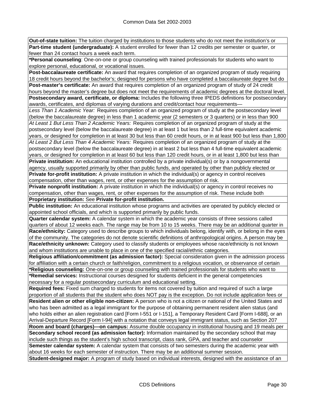**Out-of-state tuition:** The tuition charged by institutions to those students who do not meet the institution's or **Part-time student (undergraduate):** A student enrolled for fewer than 12 credits per semester or quarter, or fewer than 24 contact hours a week each term.

**\*Personal counseling**: One-on-one or group counseling with trained professionals for students who want to explore personal, educational, or vocational issues.

**Post-baccalaureate certificate:** An award that requires completion of an organized program of study requiring 18 credit hours beyond the bachelor's; designed for persons who have completed a baccalaureate degree but do **Post-master's certificate:** An award that requires completion of an organized program of study of 24 credit hours beyond the master's degree but does not meet the requirements of academic degrees at the doctoral level.

**Postsecondary award, certificate, or diploma:** Includes the following three IPEDS definitions for postsecondary awards, certificates, and diplomas of varying durations and credit/contact hour requirements—

*Less Than 1 Academic Year:* Requires completion of an organized program of study at the postsecondary level (below the baccalaureate degree) in less than 1 academic year (2 semesters or 3 quarters) or in less than 900 *At Least 1 But Less Than 2 Academic Years:* Requires completion of an organized program of study at the

postsecondary level (below the baccalaureate degree) in at least 1 but less than 2 full-time equivalent academic years, or designed for completion in at least 30 but less than 60 credit hours, or in at least 900 but less than 1,800 *At Least 2 But Less Than 4 Academic Years:* Requires completion of an organized program of study at the

postsecondary level (below the baccalaureate degree) in at least 2 but less than 4 full-time equivalent academic years, or designed for completion in at least 60 but less than 120 credit hours, or in at least 1,800 but less than **Private institution:** An educational institution controlled by a private individual(s) or by a nongovernmental

agency, usually supported primarily by other than public funds, and operated by other than publicly elected or **Private for-profit institution:** A private institution in which the individual(s) or agency in control receives compensation, other than wages, rent, or other expenses for the assumption of risk.

**Private nonprofit institution:** A private institution in which the individual(s) or agency in control receives no compensation, other than wages, rent, or other expenses for the assumption of risk. These include both **Proprietary institution:** See **Private for-profit institution.**

**Public institution:** An educational institution whose programs and activities are operated by publicly elected or appointed school officials, and which is supported primarily by public funds.

**Quarter calendar system:** A calendar system in which the academic year consists of three sessions called quarters of about 12 weeks each. The range may be from 10 to 15 weeks. There may be an additional quarter in **Race/ethnicity:** Category used to describe groups to which individuals belong, identify with, or belong in the eyes of the community. The categories do not denote scientific definitions of anthropological origins. A person may be **Race/ethnicity unknown:** Category used to classify students or employees whose race/ethnicity is not known

and whom institutions are unable to place in one of the specified racial/ethnic categories.

**Religious affiliation/commitment (as admission factor):** Special consideration given in the admission process for affiliation with a certain church or faith/religion, commitment to a religious vocation, or observance of certain **\*Religious counseling:** One-on-one or group counseling with trained professionals for students who want to

**\*Remedial services:** Instructional courses designed for students deficient in the general competencies necessary for a regular postsecondary curriculum and educational setting.

**Required fees:** Fixed sum charged to students for items not covered by tuition and required of such a large proportion of all students that the student who does NOT pay is the exception. Do not include application fees or **Resident alien or other eligible non-citizen:** A person who is not a citizen or national of the United States and who has been admitted as a legal immigrant for the purpose of obtaining permanent resident alien status (and who holds either an alien registration card [Form I-551 or I-151], a Temporary Resident Card [Form I-688], or an Arrival-Departure Record [Form I-94] with a notation that conveys legal immigrant status, such as Section 207

**Room and board (charges)—on campus:** Assume double occupancy in institutional housing and 19 meals per **Secondary school record (as admission factor):** Information maintained by the secondary school that may include such things as the student's high school transcript, class rank, GPA, and teacher and counselor **Semester calendar system:** A calendar system that consists of two semesters during the academic year with about 16 weeks for each semester of instruction. There may be an additional summer session.

**Student-designed major:** A program of study based on individual interests, designed with the assistance of an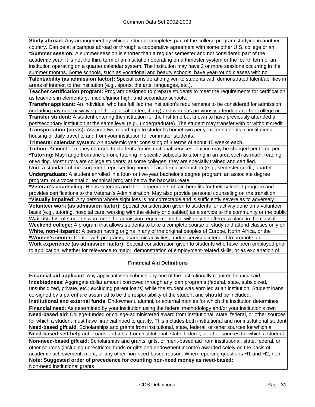**Study abroad:** Any arrangement by which a student completes part of the college program studying in another country. Can be at a campus abroad or through a cooperative agreement with some other U.S. college or an **\*Summer session:** A summer session is shorter than a regular semester and not considered part of the academic year. It is not the third term of an institution operating on a trimester system or the fourth term of an institution operating on a quarter calendar system. The institution may have 2 or more sessions occurring in the summer months. Some schools, such as vocational and beauty schools, have year-round classes with no

**Talent/ability (as admission factor):** Special consideration given to students with demonstrated talent/abilities in areas of interest to the institution (e.g., sports, the arts, languages, etc.).

**Teacher certification program:** Program designed to prepare students to meet the requirements for certification as teachers in elementary, middle/junior high, and secondary schools.

**Transfer applicant:** An individual who has fulfilled the institution's requirements to be considered for admission (including payment or waiving of the application fee, if any) and who has previously attended another college or **Transfer student:** A student entering the institution for the first time but known to have previously attended a postsecondary institution at the same level (e.g., undergraduate). The student may transfer with or without credit. **Transportation (costs):** Assume two round trips to student's hometown per year for students in institutional housing or daily travel to and from your institution for commuter students.

**Trimester calendar system:** An academic year consisting of 3 terms of about 15 weeks each.

**Tuition:** Amount of money charged to students for instructional services. Tuition may be charged per term, per **\*Tutoring:** May range from one-on-one tutoring in specific subjects to tutoring in an area such as math, reading, or writing. Most tutors are college students; at some colleges, they are specially trained and certified.

**Unit:** a standard of measurement representing hours of academic instruction (e.g., semester credit, quarter **Undergraduate:** A student enrolled in a four- or five-year bachelor's degree program, an associate degree program, or a vocational or technical program below the baccalaureate.

**\*Veteran's counseling:** Helps veterans and their dependents obtain benefits for their selected program and provides certifications to the Veteran's Administration. May also provide personal counseling on the transition **\*Visually impaired:** Any person whose sight loss is not correctable and is sufficiently severe as to adversely **Volunteer work (as admission factor):** Special consideration given to students for activity done on a volunteer basis (e.g., tutoring, hospital care, working with the elderly or disabled) as a service to the community or the public **Wait list:** List of students who meet the admission requirements but will only be offered a place in the class if

**Weekend college:** A program that allows students to take a complete course of study and attend classes only on **White, non-Hispanic:** A person having origins in any of the original peoples of Europe, North Africa, or the **\*Women's center:** Center with programs, academic activities, and/or services intended to promote an

**Work experience (as admission factor):** Special consideration given to students who have been employed prior to application, whether for relevance to major, demonstration of employment-related skills, or as explanation of

### **Financial Aid Definitions**

**Financial aid applicant**: Any applicant who submits any one of the institutionally required financial aid **Indebtedness**: Aggregate dollar amount borrowed through any loan programs (federal, state, subsidized, unsubsidized, private, etc.; excluding parent loans) while the student was enrolled at an institution. Student loans co-signed by a parent are assumed to be the responsibility of the student and **should** be included. **Institutional and external funds**: Endowment, alumni, or external monies for which the institution determines **Financial need**: As determined by your institution using the federal methodology and/or your institution's own **Need-based aid**: College-funded or college-administered award from institutional, state, federal, or other sources for which a student must have financial need to qualify. This includes both institutional and noninstitutional student **Need-based gift aid**: Scholarships and grants from institutional, state, federal, or other sources for which a **Need-based self-help aid**: Loans and jobs from institutional, state, federal, or other sources for which a student

Non-need-based gift aid: Scholarships and grants, gifts, or merit-based aid from institutional, state, federal, or other sources (including unrestricted funds or gifts and endowment income) awarded solely on the basis of academic achievement, merit, or any other non-need-based reason. When reporting questions H1 and H2, non-**Note: Suggested order of precedence for counting non-need money as need-based:**

Non-need institutional grants